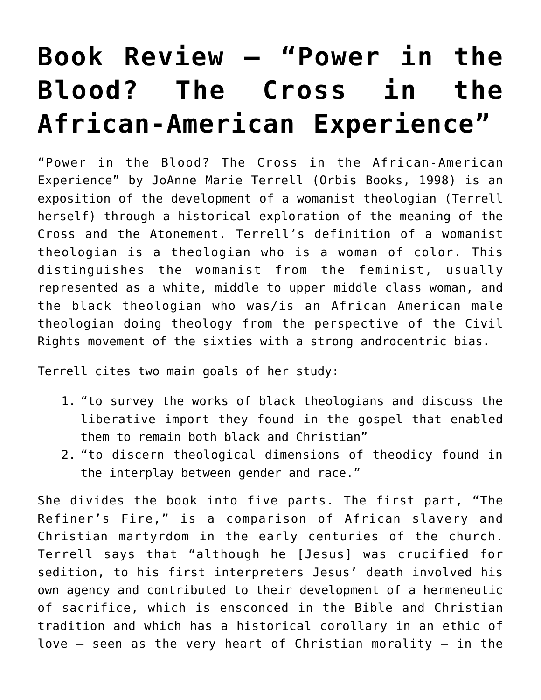## **[Book Review — "Power in the](https://crossings.org/book-review-power-in-the-blood-the-cross-in-the-african-american-experience/) [Blood? The Cross in the](https://crossings.org/book-review-power-in-the-blood-the-cross-in-the-african-american-experience/) [African-American Experience"](https://crossings.org/book-review-power-in-the-blood-the-cross-in-the-african-american-experience/)**

"Power in the Blood? The Cross in the African-American Experience" by JoAnne Marie Terrell (Orbis Books, 1998) is an exposition of the development of a womanist theologian (Terrell herself) through a historical exploration of the meaning of the Cross and the Atonement. Terrell's definition of a womanist theologian is a theologian who is a woman of color. This distinguishes the womanist from the feminist, usually represented as a white, middle to upper middle class woman, and the black theologian who was/is an African American male theologian doing theology from the perspective of the Civil Rights movement of the sixties with a strong androcentric bias.

Terrell cites two main goals of her study:

- 1. "to survey the works of black theologians and discuss the liberative import they found in the gospel that enabled them to remain both black and Christian"
- 2. "to discern theological dimensions of theodicy found in the interplay between gender and race."

She divides the book into five parts. The first part, "The Refiner's Fire," is a comparison of African slavery and Christian martyrdom in the early centuries of the church. Terrell says that "although he [Jesus] was crucified for sedition, to his first interpreters Jesus' death involved his own agency and contributed to their development of a hermeneutic of sacrifice, which is ensconced in the Bible and Christian tradition and which has a historical corollary in an ethic of love  $-$  seen as the very heart of Christian morality  $-$  in the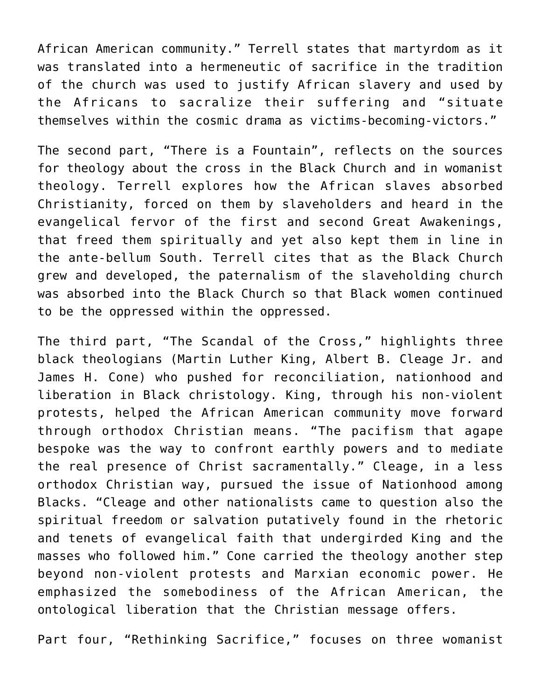African American community." Terrell states that martyrdom as it was translated into a hermeneutic of sacrifice in the tradition of the church was used to justify African slavery and used by the Africans to sacralize their suffering and "situate themselves within the cosmic drama as victims-becoming-victors."

The second part, "There is a Fountain", reflects on the sources for theology about the cross in the Black Church and in womanist theology. Terrell explores how the African slaves absorbed Christianity, forced on them by slaveholders and heard in the evangelical fervor of the first and second Great Awakenings, that freed them spiritually and yet also kept them in line in the ante-bellum South. Terrell cites that as the Black Church grew and developed, the paternalism of the slaveholding church was absorbed into the Black Church so that Black women continued to be the oppressed within the oppressed.

The third part, "The Scandal of the Cross," highlights three black theologians (Martin Luther King, Albert B. Cleage Jr. and James H. Cone) who pushed for reconciliation, nationhood and liberation in Black christology. King, through his non-violent protests, helped the African American community move forward through orthodox Christian means. "The pacifism that agape bespoke was the way to confront earthly powers and to mediate the real presence of Christ sacramentally." Cleage, in a less orthodox Christian way, pursued the issue of Nationhood among Blacks. "Cleage and other nationalists came to question also the spiritual freedom or salvation putatively found in the rhetoric and tenets of evangelical faith that undergirded King and the masses who followed him." Cone carried the theology another step beyond non-violent protests and Marxian economic power. He emphasized the somebodiness of the African American, the ontological liberation that the Christian message offers.

Part four, "Rethinking Sacrifice," focuses on three womanist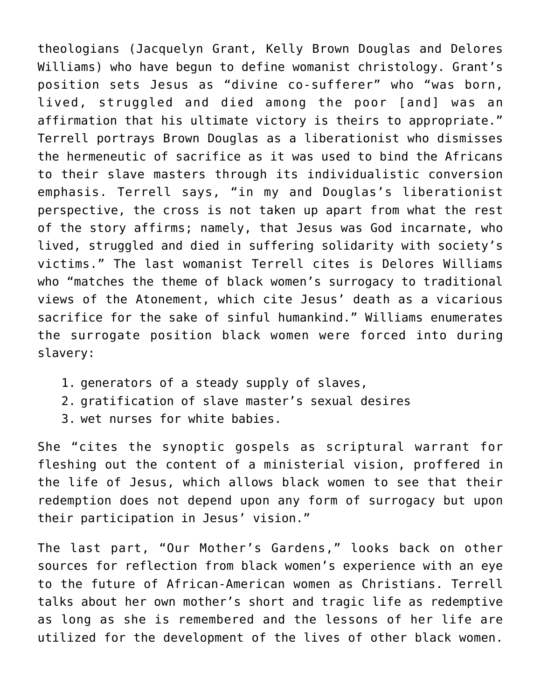theologians (Jacquelyn Grant, Kelly Brown Douglas and Delores Williams) who have begun to define womanist christology. Grant's position sets Jesus as "divine co-sufferer" who "was born, lived, struggled and died among the poor [and] was an affirmation that his ultimate victory is theirs to appropriate." Terrell portrays Brown Douglas as a liberationist who dismisses the hermeneutic of sacrifice as it was used to bind the Africans to their slave masters through its individualistic conversion emphasis. Terrell says, "in my and Douglas's liberationist perspective, the cross is not taken up apart from what the rest of the story affirms; namely, that Jesus was God incarnate, who lived, struggled and died in suffering solidarity with society's victims." The last womanist Terrell cites is Delores Williams who "matches the theme of black women's surrogacy to traditional views of the Atonement, which cite Jesus' death as a vicarious sacrifice for the sake of sinful humankind." Williams enumerates the surrogate position black women were forced into during slavery:

- 1. generators of a steady supply of slaves,
- 2. gratification of slave master's sexual desires
- 3. wet nurses for white babies.

She "cites the synoptic gospels as scriptural warrant for fleshing out the content of a ministerial vision, proffered in the life of Jesus, which allows black women to see that their redemption does not depend upon any form of surrogacy but upon their participation in Jesus' vision."

The last part, "Our Mother's Gardens," looks back on other sources for reflection from black women's experience with an eye to the future of African-American women as Christians. Terrell talks about her own mother's short and tragic life as redemptive as long as she is remembered and the lessons of her life are utilized for the development of the lives of other black women.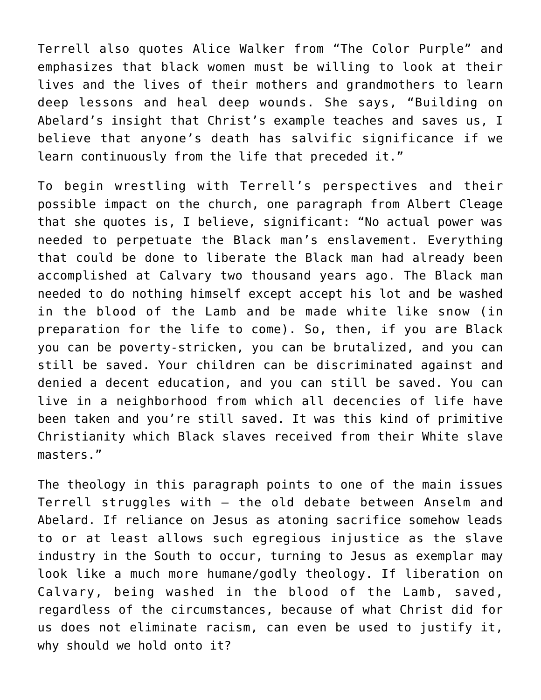Terrell also quotes Alice Walker from "The Color Purple" and emphasizes that black women must be willing to look at their lives and the lives of their mothers and grandmothers to learn deep lessons and heal deep wounds. She says, "Building on Abelard's insight that Christ's example teaches and saves us, I believe that anyone's death has salvific significance if we learn continuously from the life that preceded it."

To begin wrestling with Terrell's perspectives and their possible impact on the church, one paragraph from Albert Cleage that she quotes is, I believe, significant: "No actual power was needed to perpetuate the Black man's enslavement. Everything that could be done to liberate the Black man had already been accomplished at Calvary two thousand years ago. The Black man needed to do nothing himself except accept his lot and be washed in the blood of the Lamb and be made white like snow (in preparation for the life to come). So, then, if you are Black you can be poverty-stricken, you can be brutalized, and you can still be saved. Your children can be discriminated against and denied a decent education, and you can still be saved. You can live in a neighborhood from which all decencies of life have been taken and you're still saved. It was this kind of primitive Christianity which Black slaves received from their White slave masters."

The theology in this paragraph points to one of the main issues Terrell struggles with — the old debate between Anselm and Abelard. If reliance on Jesus as atoning sacrifice somehow leads to or at least allows such egregious injustice as the slave industry in the South to occur, turning to Jesus as exemplar may look like a much more humane/godly theology. If liberation on Calvary, being washed in the blood of the Lamb, saved, regardless of the circumstances, because of what Christ did for us does not eliminate racism, can even be used to justify it, why should we hold onto it?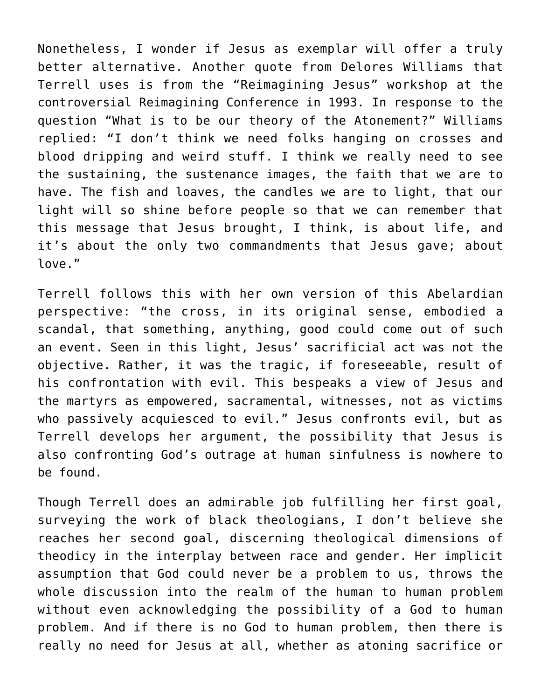Nonetheless, I wonder if Jesus as exemplar will offer a truly better alternative. Another quote from Delores Williams that Terrell uses is from the "Reimagining Jesus" workshop at the controversial Reimagining Conference in 1993. In response to the question "What is to be our theory of the Atonement?" Williams replied: "I don't think we need folks hanging on crosses and blood dripping and weird stuff. I think we really need to see the sustaining, the sustenance images, the faith that we are to have. The fish and loaves, the candles we are to light, that our light will so shine before people so that we can remember that this message that Jesus brought, I think, is about life, and it's about the only two commandments that Jesus gave; about love."

Terrell follows this with her own version of this Abelardian perspective: "the cross, in its original sense, embodied a scandal, that something, anything, good could come out of such an event. Seen in this light, Jesus' sacrificial act was not the objective. Rather, it was the tragic, if foreseeable, result of his confrontation with evil. This bespeaks a view of Jesus and the martyrs as empowered, sacramental, witnesses, not as victims who passively acquiesced to evil." Jesus confronts evil, but as Terrell develops her argument, the possibility that Jesus is also confronting God's outrage at human sinfulness is nowhere to be found.

Though Terrell does an admirable job fulfilling her first goal, surveying the work of black theologians, I don't believe she reaches her second goal, discerning theological dimensions of theodicy in the interplay between race and gender. Her implicit assumption that God could never be a problem to us, throws the whole discussion into the realm of the human to human problem without even acknowledging the possibility of a God to human problem. And if there is no God to human problem, then there is really no need for Jesus at all, whether as atoning sacrifice or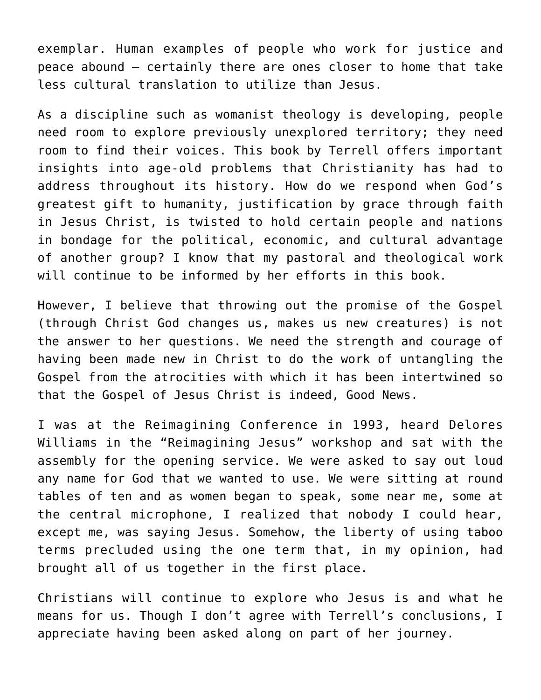exemplar. Human examples of people who work for justice and peace abound – certainly there are ones closer to home that take less cultural translation to utilize than Jesus.

As a discipline such as womanist theology is developing, people need room to explore previously unexplored territory; they need room to find their voices. This book by Terrell offers important insights into age-old problems that Christianity has had to address throughout its history. How do we respond when God's greatest gift to humanity, justification by grace through faith in Jesus Christ, is twisted to hold certain people and nations in bondage for the political, economic, and cultural advantage of another group? I know that my pastoral and theological work will continue to be informed by her efforts in this book.

However, I believe that throwing out the promise of the Gospel (through Christ God changes us, makes us new creatures) is not the answer to her questions. We need the strength and courage of having been made new in Christ to do the work of untangling the Gospel from the atrocities with which it has been intertwined so that the Gospel of Jesus Christ is indeed, Good News.

I was at the Reimagining Conference in 1993, heard Delores Williams in the "Reimagining Jesus" workshop and sat with the assembly for the opening service. We were asked to say out loud any name for God that we wanted to use. We were sitting at round tables of ten and as women began to speak, some near me, some at the central microphone, I realized that nobody I could hear, except me, was saying Jesus. Somehow, the liberty of using taboo terms precluded using the one term that, in my opinion, had brought all of us together in the first place.

Christians will continue to explore who Jesus is and what he means for us. Though I don't agree with Terrell's conclusions, I appreciate having been asked along on part of her journey.